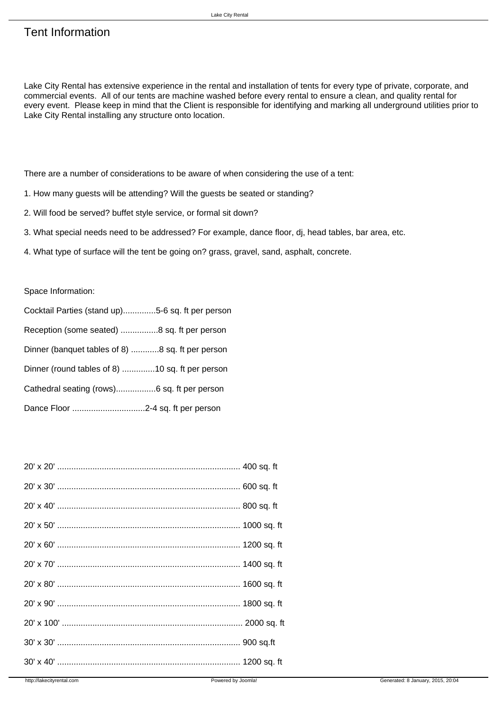Lake City Rental has extensive experience in the rental and installation of tents for every type of private, corporate, and commercial events. All of our tents are machine washed before every rental to ensure a clean, and quality rental for every event. Please keep in mind that the Client is responsible for identifying and marking all underground utilities prior to Lake City Rental installing any structure onto location.

There are a number of considerations to be aware of when considering the use of a tent:

- 1. How many guests will be attending? Will the guests be seated or standing?
- 2. Will food be served? buffet style service, or formal sit down?
- 3. What special needs need to be addressed? For example, dance floor, dj, head tables, bar area, etc.
- 4. What type of surface will the tent be going on? grass, gravel, sand, asphalt, concrete.

## Space Information:

| Cocktail Parties (stand up)5-6 sq. ft per person |
|--------------------------------------------------|
| Reception (some seated) 8 sq. ft per person      |
| Dinner (banquet tables of 8) 8 sq. ft per person |
| Dinner (round tables of 8) 10 sq. ft per person  |
|                                                  |
|                                                  |